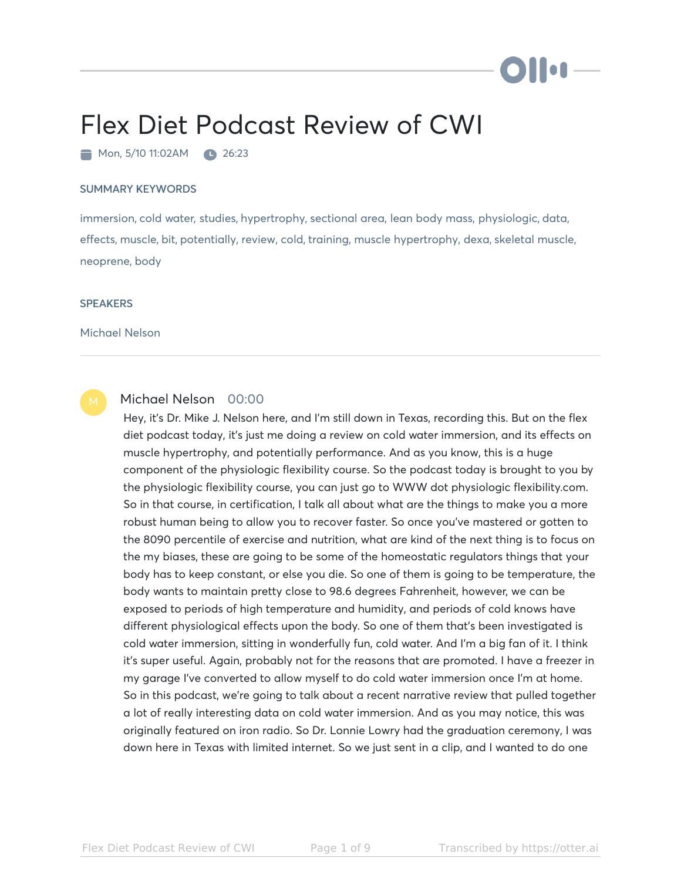# i i oa

# Flex Diet Podcast Review of CWI

Mon, 5/10 11:02AM 26:23

### SUMMARY KEYWORDS

immersion, cold water, studies, hypertrophy, sectional area, lean body mass, physiologic, data, effects, muscle, bit, potentially, review, cold, training, muscle hypertrophy, dexa, skeletal muscle, neoprene, body

#### **SPEAKERS**

Michael Nelson



# Michael Nelson 00:00

Hey, it's Dr. Mike J. Nelson here, and I'm still down in Texas, recording this. But on the flex diet podcast today, it's just me doing a review on cold water immersion, and its effects on muscle hypertrophy, and potentially performance. And as you know, this is a huge component of the physiologic flexibility course. So the podcast today is brought to you by the physiologic flexibility course, you can just go to WWW dot physiologic flexibility.com. So in that course, in certification, I talk all about what are the things to make you a more robust human being to allow you to recover faster. So once you've mastered or gotten to the 8090 percentile of exercise and nutrition, what are kind of the next thing is to focus on the my biases, these are going to be some of the homeostatic regulators things that your body has to keep constant, or else you die. So one of them is going to be temperature, the body wants to maintain pretty close to 98.6 degrees Fahrenheit, however, we can be exposed to periods of high temperature and humidity, and periods of cold knows have different physiological effects upon the body. So one of them that's been investigated is cold water immersion, sitting in wonderfully fun, cold water. And I'm a big fan of it. I think it's super useful. Again, probably not for the reasons that are promoted. I have a freezer in my garage I've converted to allow myself to do cold water immersion once I'm at home. So in this podcast, we're going to talk about a recent narrative review that pulled together a lot of really interesting data on cold water immersion. And as you may notice, this was originally featured on iron radio. So Dr. Lonnie Lowry had the graduation ceremony, I was down here in Texas with limited internet. So we just sent in a clip, and I wanted to do one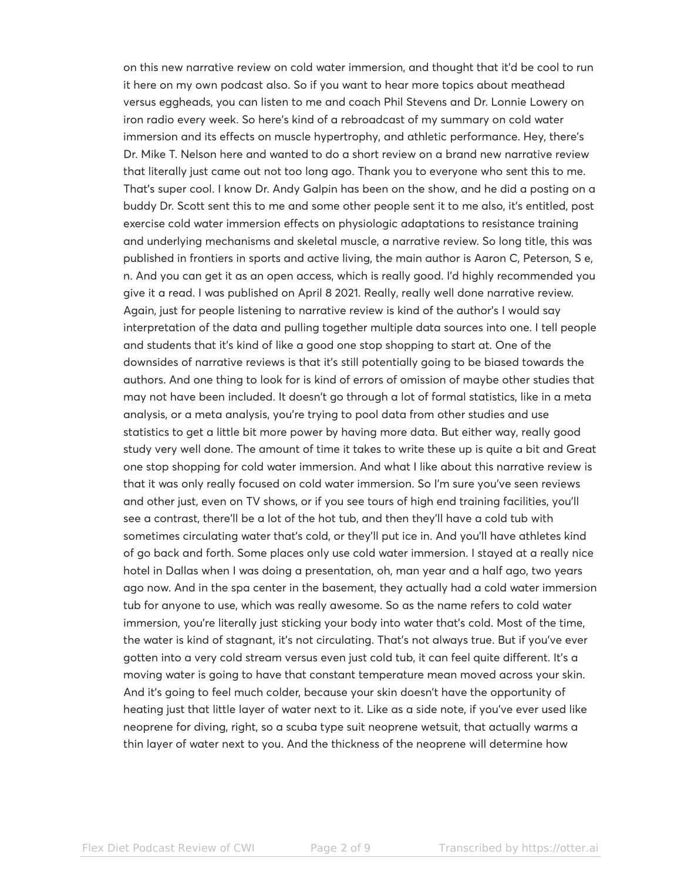on this new narrative review on cold water immersion, and thought that it'd be cool to run it here on my own podcast also. So if you want to hear more topics about meathead versus eggheads, you can listen to me and coach Phil Stevens and Dr. Lonnie Lowery on iron radio every week. So here's kind of a rebroadcast of my summary on cold water immersion and its effects on muscle hypertrophy, and athletic performance. Hey, there's Dr. Mike T. Nelson here and wanted to do a short review on a brand new narrative review that literally just came out not too long ago. Thank you to everyone who sent this to me. That's super cool. I know Dr. Andy Galpin has been on the show, and he did a posting on a buddy Dr. Scott sent this to me and some other people sent it to me also, it's entitled, post exercise cold water immersion effects on physiologic adaptations to resistance training and underlying mechanisms and skeletal muscle, a narrative review. So long title, this was published in frontiers in sports and active living, the main author is Aaron C, Peterson, S e, n. And you can get it as an open access, which is really good. I'd highly recommended you give it a read. I was published on April 8 2021. Really, really well done narrative review. Again, just for people listening to narrative review is kind of the author's I would say interpretation of the data and pulling together multiple data sources into one. I tell people and students that it's kind of like a good one stop shopping to start at. One of the downsides of narrative reviews is that it's still potentially going to be biased towards the authors. And one thing to look for is kind of errors of omission of maybe other studies that may not have been included. It doesn't go through a lot of formal statistics, like in a meta analysis, or a meta analysis, you're trying to pool data from other studies and use statistics to get a little bit more power by having more data. But either way, really good study very well done. The amount of time it takes to write these up is quite a bit and Great one stop shopping for cold water immersion. And what I like about this narrative review is that it was only really focused on cold water immersion. So I'm sure you've seen reviews and other just, even on TV shows, or if you see tours of high end training facilities, you'll see a contrast, there'll be a lot of the hot tub, and then they'll have a cold tub with sometimes circulating water that's cold, or they'll put ice in. And you'll have athletes kind of go back and forth. Some places only use cold water immersion. I stayed at a really nice hotel in Dallas when I was doing a presentation, oh, man year and a half ago, two years ago now. And in the spa center in the basement, they actually had a cold water immersion tub for anyone to use, which was really awesome. So as the name refers to cold water immersion, you're literally just sticking your body into water that's cold. Most of the time, the water is kind of stagnant, it's not circulating. That's not always true. But if you've ever gotten into a very cold stream versus even just cold tub, it can feel quite different. It's a moving water is going to have that constant temperature mean moved across your skin. And it's going to feel much colder, because your skin doesn't have the opportunity of heating just that little layer of water next to it. Like as a side note, if you've ever used like neoprene for diving, right, so a scuba type suit neoprene wetsuit, that actually warms a thin layer of water next to you. And the thickness of the neoprene will determine how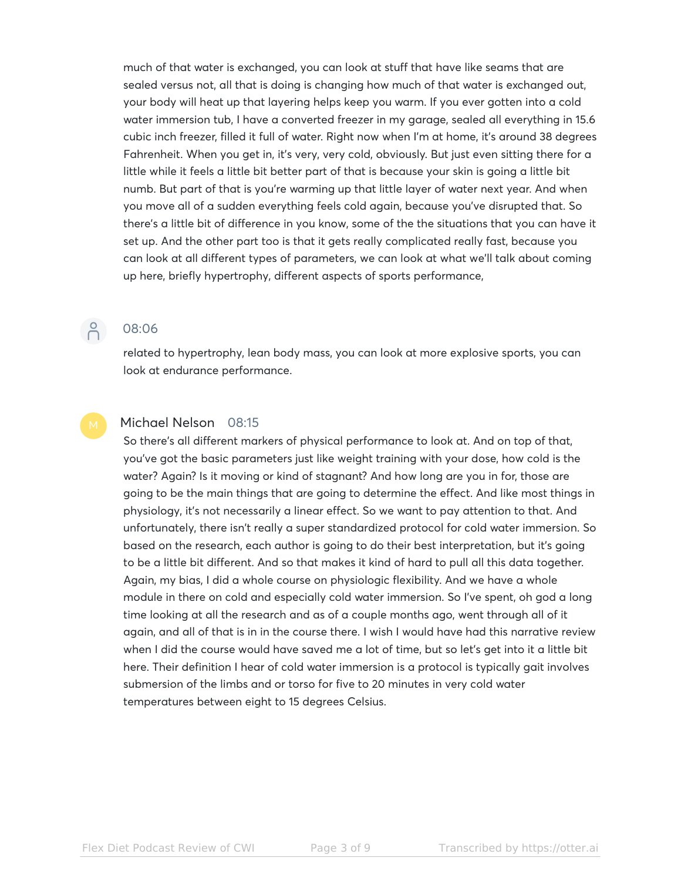much of that water is exchanged, you can look at stuff that have like seams that are sealed versus not, all that is doing is changing how much of that water is exchanged out, your body will heat up that layering helps keep you warm. If you ever gotten into a cold water immersion tub, I have a converted freezer in my garage, sealed all everything in 15.6 cubic inch freezer, filled it full of water. Right now when I'm at home, it's around 38 degrees Fahrenheit. When you get in, it's very, very cold, obviously. But just even sitting there for a little while it feels a little bit better part of that is because your skin is going a little bit numb. But part of that is you're warming up that little layer of water next year. And when you move all of a sudden everything feels cold again, because you've disrupted that. So there's a little bit of difference in you know, some of the the situations that you can have it set up. And the other part too is that it gets really complicated really fast, because you can look at all different types of parameters, we can look at what we'll talk about coming up here, briefly hypertrophy, different aspects of sports performance,

# $\beta$

# 08:06

related to hypertrophy, lean body mass, you can look at more explosive sports, you can look at endurance performance.

# Michael Nelson 08:15

So there's all different markers of physical performance to look at. And on top of that, you've got the basic parameters just like weight training with your dose, how cold is the water? Again? Is it moving or kind of stagnant? And how long are you in for, those are going to be the main things that are going to determine the effect. And like most things in physiology, it's not necessarily a linear effect. So we want to pay attention to that. And unfortunately, there isn't really a super standardized protocol for cold water immersion. So based on the research, each author is going to do their best interpretation, but it's going to be a little bit different. And so that makes it kind of hard to pull all this data together. Again, my bias, I did a whole course on physiologic flexibility. And we have a whole module in there on cold and especially cold water immersion. So I've spent, oh god a long time looking at all the research and as of a couple months ago, went through all of it again, and all of that is in in the course there. I wish I would have had this narrative review when I did the course would have saved me a lot of time, but so let's get into it a little bit here. Their definition I hear of cold water immersion is a protocol is typically gait involves submersion of the limbs and or torso for five to 20 minutes in very cold water temperatures between eight to 15 degrees Celsius.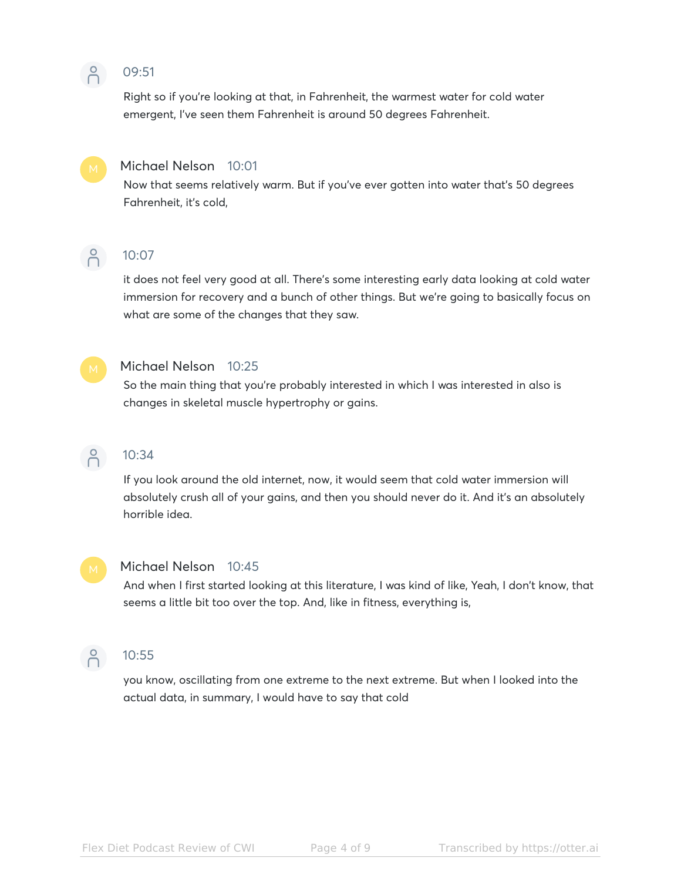#### $\beta$ 09:51

Right so if you're looking at that, in Fahrenheit, the warmest water for cold water emergent, I've seen them Fahrenheit is around 50 degrees Fahrenheit.



# Michael Nelson 10:01

Now that seems relatively warm. But if you've ever gotten into water that's 50 degrees Fahrenheit, it's cold,



# 10:07

it does not feel very good at all. There's some interesting early data looking at cold water immersion for recovery and a bunch of other things. But we're going to basically focus on what are some of the changes that they saw.



# Michael Nelson 10:25

So the main thing that you're probably interested in which I was interested in also is changes in skeletal muscle hypertrophy or gains.



# $\bigcap_{10:34}^{\infty}$  10:34

If you look around the old internet, now, it would seem that cold water immersion will absolutely crush all of your gains, and then you should never do it. And it's an absolutely horrible idea.



### Michael Nelson 10:45

And when I first started looking at this literature, I was kind of like, Yeah, I don't know, that seems a little bit too over the top. And, like in fitness, everything is,



# P 10:55

you know, oscillating from one extreme to the next extreme. But when I looked into the actual data, in summary, I would have to say that cold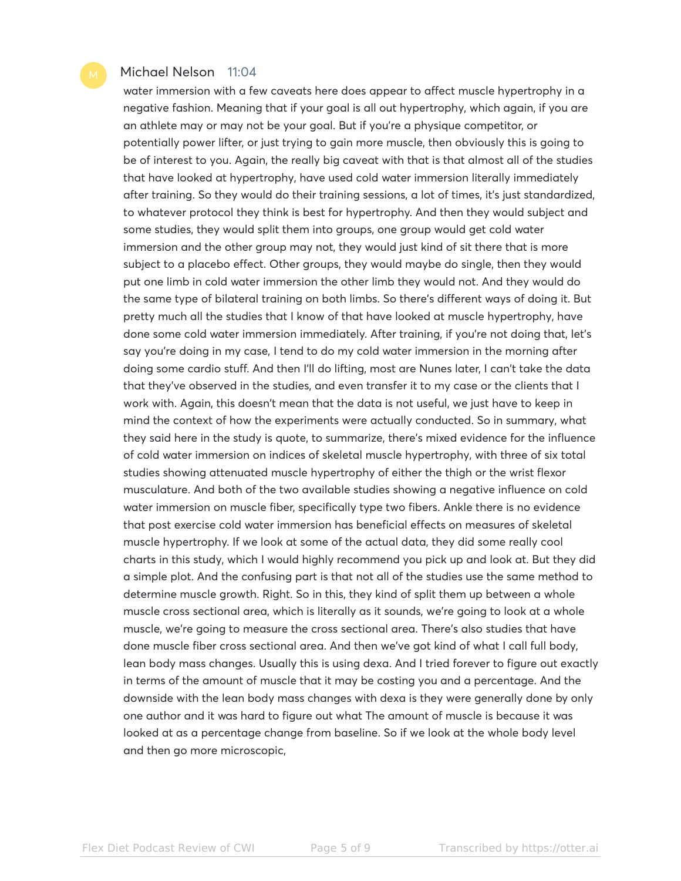## Michael Nelson 11:04

water immersion with a few caveats here does appear to affect muscle hypertrophy in a negative fashion. Meaning that if your goal is all out hypertrophy, which again, if you are an athlete may or may not be your goal. But if you're a physique competitor, or potentially power lifter, or just trying to gain more muscle, then obviously this is going to be of interest to you. Again, the really big caveat with that is that almost all of the studies that have looked at hypertrophy, have used cold water immersion literally immediately after training. So they would do their training sessions, a lot of times, it's just standardized, to whatever protocol they think is best for hypertrophy. And then they would subject and some studies, they would split them into groups, one group would get cold water immersion and the other group may not, they would just kind of sit there that is more subject to a placebo effect. Other groups, they would maybe do single, then they would put one limb in cold water immersion the other limb they would not. And they would do the same type of bilateral training on both limbs. So there's different ways of doing it. But pretty much all the studies that I know of that have looked at muscle hypertrophy, have done some cold water immersion immediately. After training, if you're not doing that, let's say you're doing in my case, I tend to do my cold water immersion in the morning after doing some cardio stuff. And then I'll do lifting, most are Nunes later, I can't take the data that they've observed in the studies, and even transfer it to my case or the clients that I work with. Again, this doesn't mean that the data is not useful, we just have to keep in mind the context of how the experiments were actually conducted. So in summary, what they said here in the study is quote, to summarize, there's mixed evidence for the influence of cold water immersion on indices of skeletal muscle hypertrophy, with three of six total studies showing attenuated muscle hypertrophy of either the thigh or the wrist flexor musculature. And both of the two available studies showing a negative influence on cold water immersion on muscle fiber, specifically type two fibers. Ankle there is no evidence that post exercise cold water immersion has beneficial effects on measures of skeletal muscle hypertrophy. If we look at some of the actual data, they did some really cool charts in this study, which I would highly recommend you pick up and look at. But they did a simple plot. And the confusing part is that not all of the studies use the same method to determine muscle growth. Right. So in this, they kind of split them up between a whole muscle cross sectional area, which is literally as it sounds, we're going to look at a whole muscle, we're going to measure the cross sectional area. There's also studies that have done muscle fiber cross sectional area. And then we've got kind of what I call full body, lean body mass changes. Usually this is using dexa. And I tried forever to figure out exactly in terms of the amount of muscle that it may be costing you and a percentage. And the downside with the lean body mass changes with dexa is they were generally done by only one author and it was hard to figure out what The amount of muscle is because it was looked at as a percentage change from baseline. So if we look at the whole body level and then go more microscopic,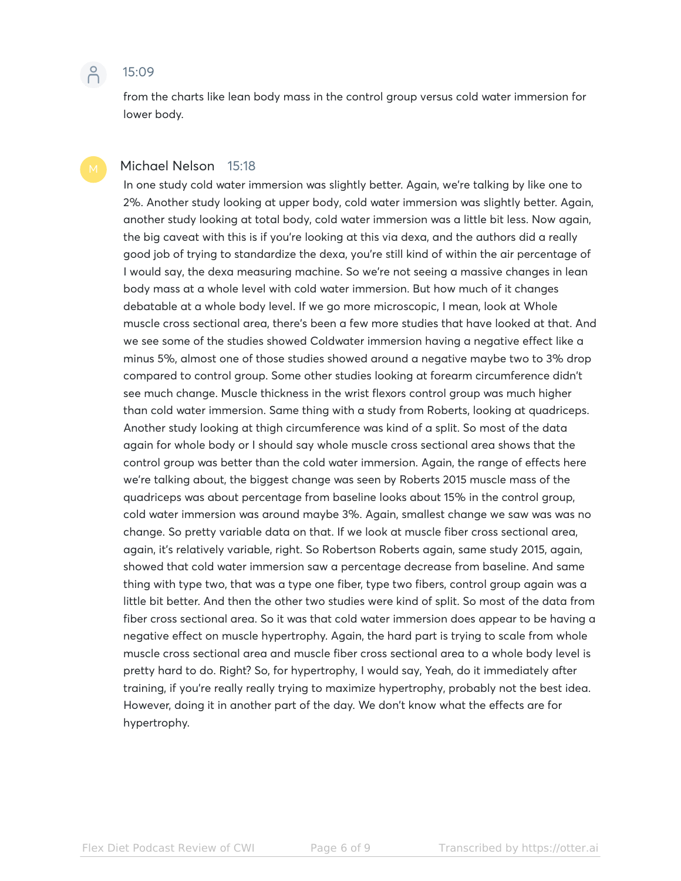

from the charts like lean body mass in the control group versus cold water immersion for lower body.

### Michael Nelson 15:18

In one study cold water immersion was slightly better. Again, we're talking by like one to 2%. Another study looking at upper body, cold water immersion was slightly better. Again, another study looking at total body, cold water immersion was a little bit less. Now again, the big caveat with this is if you're looking at this via dexa, and the authors did a really good job of trying to standardize the dexa, you're still kind of within the air percentage of I would say, the dexa measuring machine. So we're not seeing a massive changes in lean body mass at a whole level with cold water immersion. But how much of it changes debatable at a whole body level. If we go more microscopic, I mean, look at Whole muscle cross sectional area, there's been a few more studies that have looked at that. And we see some of the studies showed Coldwater immersion having a negative effect like a minus 5%, almost one of those studies showed around a negative maybe two to 3% drop compared to control group. Some other studies looking at forearm circumference didn't see much change. Muscle thickness in the wrist flexors control group was much higher than cold water immersion. Same thing with a study from Roberts, looking at quadriceps. Another study looking at thigh circumference was kind of a split. So most of the data again for whole body or I should say whole muscle cross sectional area shows that the control group was better than the cold water immersion. Again, the range of effects here we're talking about, the biggest change was seen by Roberts 2015 muscle mass of the quadriceps was about percentage from baseline looks about 15% in the control group, cold water immersion was around maybe 3%. Again, smallest change we saw was was no change. So pretty variable data on that. If we look at muscle fiber cross sectional area, again, it's relatively variable, right. So Robertson Roberts again, same study 2015, again, showed that cold water immersion saw a percentage decrease from baseline. And same thing with type two, that was a type one fiber, type two fibers, control group again was a little bit better. And then the other two studies were kind of split. So most of the data from fiber cross sectional area. So it was that cold water immersion does appear to be having a negative effect on muscle hypertrophy. Again, the hard part is trying to scale from whole muscle cross sectional area and muscle fiber cross sectional area to a whole body level is pretty hard to do. Right? So, for hypertrophy, I would say, Yeah, do it immediately after training, if you're really really trying to maximize hypertrophy, probably not the best idea. However, doing it in another part of the day. We don't know what the effects are for hypertrophy.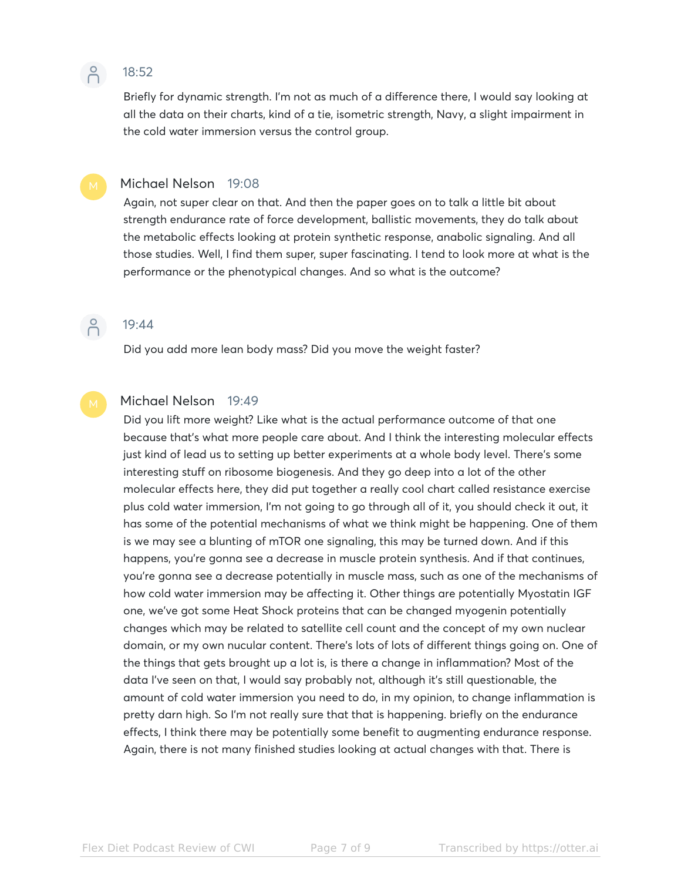

# 18:52

Briefly for dynamic strength. I'm not as much of a difference there, I would say looking at all the data on their charts, kind of a tie, isometric strength, Navy, a slight impairment in the cold water immersion versus the control group.

# Michael Nelson 19:08

Again, not super clear on that. And then the paper goes on to talk a little bit about strength endurance rate of force development, ballistic movements, they do talk about the metabolic effects looking at protein synthetic response, anabolic signaling. And all those studies. Well, I find them super, super fascinating. I tend to look more at what is the performance or the phenotypical changes. And so what is the outcome?



# 19:44

Did you add more lean body mass? Did you move the weight faster?

# Michael Nelson 19:49

Did you lift more weight? Like what is the actual performance outcome of that one because that's what more people care about. And I think the interesting molecular effects just kind of lead us to setting up better experiments at a whole body level. There's some interesting stuff on ribosome biogenesis. And they go deep into a lot of the other molecular effects here, they did put together a really cool chart called resistance exercise plus cold water immersion, I'm not going to go through all of it, you should check it out, it has some of the potential mechanisms of what we think might be happening. One of them is we may see a blunting of mTOR one signaling, this may be turned down. And if this happens, you're gonna see a decrease in muscle protein synthesis. And if that continues, you're gonna see a decrease potentially in muscle mass, such as one of the mechanisms of how cold water immersion may be affecting it. Other things are potentially Myostatin IGF one, we've got some Heat Shock proteins that can be changed myogenin potentially changes which may be related to satellite cell count and the concept of my own nuclear domain, or my own nucular content. There's lots of lots of different things going on. One of the things that gets brought up a lot is, is there a change in inflammation? Most of the data I've seen on that, I would say probably not, although it's still questionable, the amount of cold water immersion you need to do, in my opinion, to change inflammation is pretty darn high. So I'm not really sure that that is happening. briefly on the endurance effects, I think there may be potentially some benefit to augmenting endurance response. Again, there is not many finished studies looking at actual changes with that. There is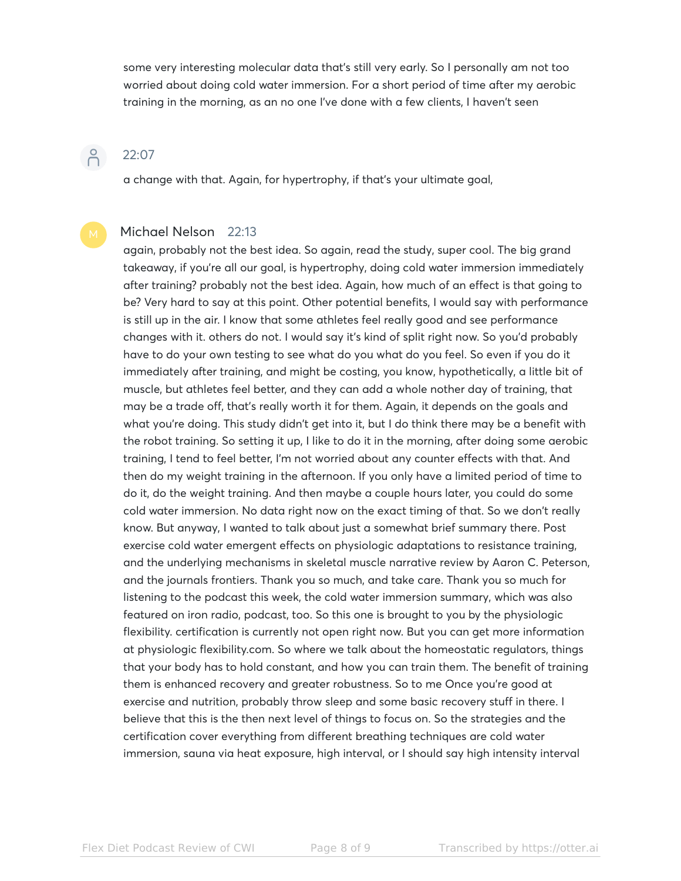some very interesting molecular data that's still very early. So I personally am not too worried about doing cold water immersion. For a short period of time after my aerobic training in the morning, as an no one I've done with a few clients, I haven't seen

# 22:07

 $\beta$ 

a change with that. Again, for hypertrophy, if that's your ultimate goal,

# Michael Nelson 22:13

again, probably not the best idea. So again, read the study, super cool. The big grand takeaway, if you're all our goal, is hypertrophy, doing cold water immersion immediately after training? probably not the best idea. Again, how much of an effect is that going to be? Very hard to say at this point. Other potential benefits, I would say with performance is still up in the air. I know that some athletes feel really good and see performance changes with it. others do not. I would say it's kind of split right now. So you'd probably have to do your own testing to see what do you what do you feel. So even if you do it immediately after training, and might be costing, you know, hypothetically, a little bit of muscle, but athletes feel better, and they can add a whole nother day of training, that may be a trade off, that's really worth it for them. Again, it depends on the goals and what you're doing. This study didn't get into it, but I do think there may be a benefit with the robot training. So setting it up, I like to do it in the morning, after doing some aerobic training, I tend to feel better, I'm not worried about any counter effects with that. And then do my weight training in the afternoon. If you only have a limited period of time to do it, do the weight training. And then maybe a couple hours later, you could do some cold water immersion. No data right now on the exact timing of that. So we don't really know. But anyway, I wanted to talk about just a somewhat brief summary there. Post exercise cold water emergent effects on physiologic adaptations to resistance training, and the underlying mechanisms in skeletal muscle narrative review by Aaron C. Peterson, and the journals frontiers. Thank you so much, and take care. Thank you so much for listening to the podcast this week, the cold water immersion summary, which was also featured on iron radio, podcast, too. So this one is brought to you by the physiologic flexibility. certification is currently not open right now. But you can get more information at physiologic flexibility.com. So where we talk about the homeostatic regulators, things that your body has to hold constant, and how you can train them. The benefit of training them is enhanced recovery and greater robustness. So to me Once you're good at exercise and nutrition, probably throw sleep and some basic recovery stuff in there. I believe that this is the then next level of things to focus on. So the strategies and the certification cover everything from different breathing techniques are cold water immersion, sauna via heat exposure, high interval, or I should say high intensity interval